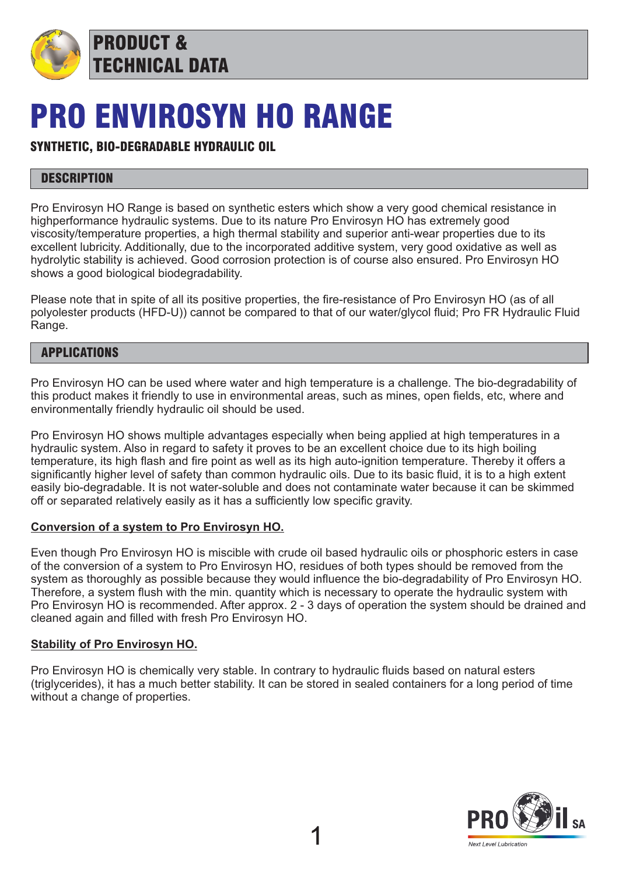

PRODUCT & TECHNICAL DATA

# PRO ENVIROSYN HO RANGE

# SYNTHETIC, BIO-DEGRADABLE HYDRAULIC OIL

# **DESCRIPTION**

Pro Envirosyn HO Range is based on synthetic esters which show a very good chemical resistance in highperformance hydraulic systems. Due to its nature Pro Envirosyn HO has extremely good viscosity/temperature properties, a high thermal stability and superior anti-wear properties due to its excellent lubricity. Additionally, due to the incorporated additive system, very good oxidative as well as hydrolytic stability is achieved. Good corrosion protection is of course also ensured. Pro Envirosyn HO shows a good biological biodegradability.

Please note that in spite of all its positive properties, the fire-resistance of Pro Envirosyn HO (as of all polyolester products (HFD-U)) cannot be compared to that of our water/glycol fluid; Pro FR Hydraulic Fluid Range.

## APPLICATIONS

Pro Envirosyn HO can be used where water and high temperature is a challenge. The bio-degradability of this product makes it friendly to use in environmental areas, such as mines, open fields, etc, where and environmentally friendly hydraulic oil should be used.

Pro Envirosyn HO shows multiple advantages especially when being applied at high temperatures in a hydraulic system. Also in regard to safety it proves to be an excellent choice due to its high boiling temperature, its high flash and fire point as well as its high auto-ignition temperature. Thereby it offers a significantly higher level of safety than common hydraulic oils. Due to its basic fluid, it is to a high extent easily bio-degradable. It is not water-soluble and does not contaminate water because it can be skimmed off or separated relatively easily as it has a sufficiently low specific gravity.

#### **Conversion of a system to Pro Envirosyn HO.**

Even though Pro Envirosyn HO is miscible with crude oil based hydraulic oils or phosphoric esters in case of the conversion of a system to Pro Envirosyn HO, residues of both types should be removed from the system as thoroughly as possible because they would influence the bio-degradability of Pro Envirosyn HO. Therefore, a system flush with the min. quantity which is necessary to operate the hydraulic system with Pro Envirosyn HO is recommended. After approx. 2 - 3 days of operation the system should be drained and cleaned again and filled with fresh Pro Envirosyn HO.

#### **Stability of Pro Envirosyn HO.**

Pro Envirosyn HO is chemically very stable. In contrary to hydraulic fluids based on natural esters (triglycerides), it has a much better stability. It can be stored in sealed containers for a long period of time without a change of properties.